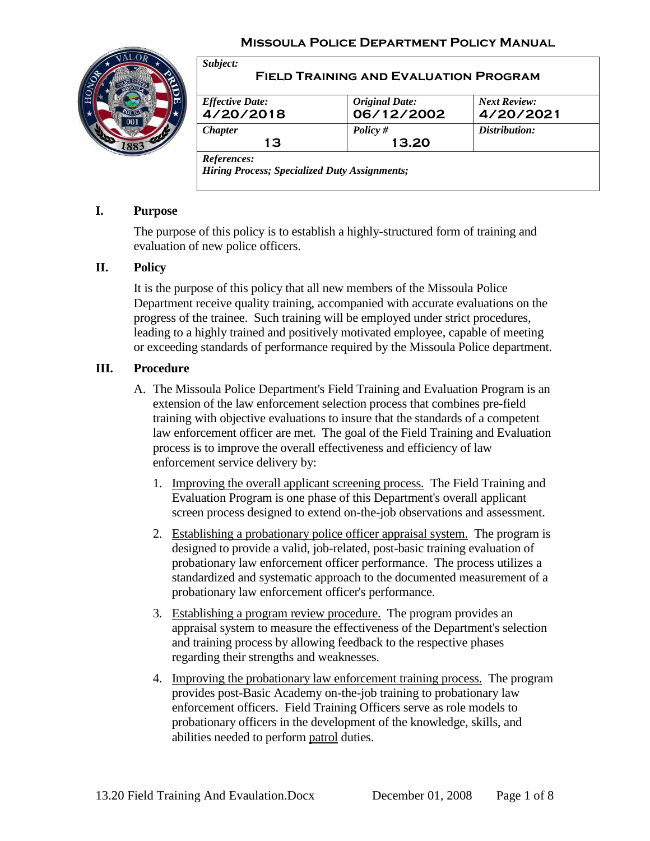#### **Missoula Police Department Policy Manual**



#### *Subject:* **Field Training and Evaluation Program** *Effective Date:* **4/20/2018** *Original Date:* **06/12/2002** *Next Review:* **4/20/2021** *Chapter* **13** *Policy #* **13.20** *Distribution: References: Hiring Process; Specialized Duty Assignments;*

## **I. Purpose**

The purpose of this policy is to establish a highly-structured form of training and evaluation of new police officers.

#### **II. Policy**

It is the purpose of this policy that all new members of the Missoula Police Department receive quality training, accompanied with accurate evaluations on the progress of the trainee. Such training will be employed under strict procedures, leading to a highly trained and positively motivated employee, capable of meeting or exceeding standards of performance required by the Missoula Police department.

#### **III. Procedure**

- A. The Missoula Police Department's Field Training and Evaluation Program is an extension of the law enforcement selection process that combines pre-field training with objective evaluations to insure that the standards of a competent law enforcement officer are met. The goal of the Field Training and Evaluation process is to improve the overall effectiveness and efficiency of law enforcement service delivery by:
	- 1. Improving the overall applicant screening process. The Field Training and Evaluation Program is one phase of this Department's overall applicant screen process designed to extend on-the-job observations and assessment.
	- 2. Establishing a probationary police officer appraisal system. The program is designed to provide a valid, job-related, post-basic training evaluation of probationary law enforcement officer performance. The process utilizes a standardized and systematic approach to the documented measurement of a probationary law enforcement officer's performance.
	- 3. Establishing a program review procedure. The program provides an appraisal system to measure the effectiveness of the Department's selection and training process by allowing feedback to the respective phases regarding their strengths and weaknesses.
	- 4. Improving the probationary law enforcement training process. The program provides post-Basic Academy on-the-job training to probationary law enforcement officers. Field Training Officers serve as role models to probationary officers in the development of the knowledge, skills, and abilities needed to perform patrol duties.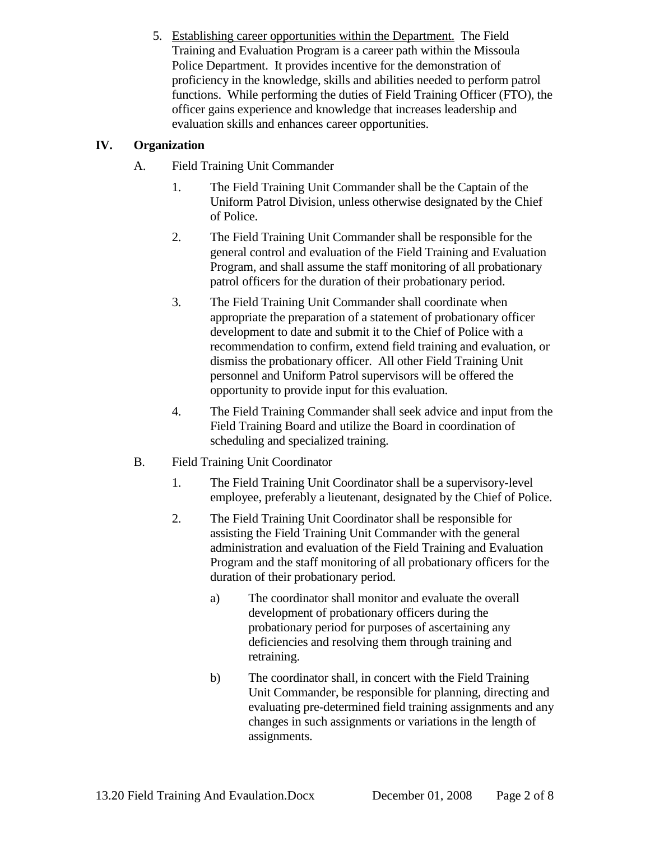5. Establishing career opportunities within the Department. The Field Training and Evaluation Program is a career path within the Missoula Police Department. It provides incentive for the demonstration of proficiency in the knowledge, skills and abilities needed to perform patrol functions. While performing the duties of Field Training Officer (FTO), the officer gains experience and knowledge that increases leadership and evaluation skills and enhances career opportunities.

## **IV. Organization**

- A. Field Training Unit Commander
	- 1. The Field Training Unit Commander shall be the Captain of the Uniform Patrol Division, unless otherwise designated by the Chief of Police.
	- 2. The Field Training Unit Commander shall be responsible for the general control and evaluation of the Field Training and Evaluation Program, and shall assume the staff monitoring of all probationary patrol officers for the duration of their probationary period.
	- 3. The Field Training Unit Commander shall coordinate when appropriate the preparation of a statement of probationary officer development to date and submit it to the Chief of Police with a recommendation to confirm, extend field training and evaluation, or dismiss the probationary officer. All other Field Training Unit personnel and Uniform Patrol supervisors will be offered the opportunity to provide input for this evaluation.
	- 4. The Field Training Commander shall seek advice and input from the Field Training Board and utilize the Board in coordination of scheduling and specialized training.
- B. Field Training Unit Coordinator
	- 1. The Field Training Unit Coordinator shall be a supervisory-level employee, preferably a lieutenant, designated by the Chief of Police.
	- 2. The Field Training Unit Coordinator shall be responsible for assisting the Field Training Unit Commander with the general administration and evaluation of the Field Training and Evaluation Program and the staff monitoring of all probationary officers for the duration of their probationary period.
		- a) The coordinator shall monitor and evaluate the overall development of probationary officers during the probationary period for purposes of ascertaining any deficiencies and resolving them through training and retraining.
		- b) The coordinator shall, in concert with the Field Training Unit Commander, be responsible for planning, directing and evaluating pre-determined field training assignments and any changes in such assignments or variations in the length of assignments.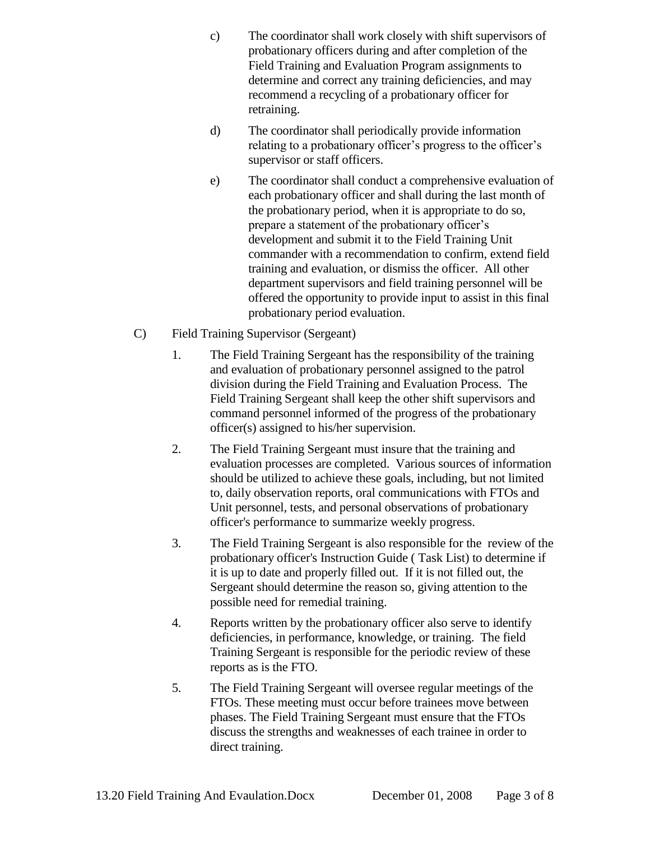- c) The coordinator shall work closely with shift supervisors of probationary officers during and after completion of the Field Training and Evaluation Program assignments to determine and correct any training deficiencies, and may recommend a recycling of a probationary officer for retraining.
- d) The coordinator shall periodically provide information relating to a probationary officer's progress to the officer's supervisor or staff officers.
- e) The coordinator shall conduct a comprehensive evaluation of each probationary officer and shall during the last month of the probationary period, when it is appropriate to do so, prepare a statement of the probationary officer's development and submit it to the Field Training Unit commander with a recommendation to confirm, extend field training and evaluation, or dismiss the officer. All other department supervisors and field training personnel will be offered the opportunity to provide input to assist in this final probationary period evaluation.
- C) Field Training Supervisor (Sergeant)
	- 1. The Field Training Sergeant has the responsibility of the training and evaluation of probationary personnel assigned to the patrol division during the Field Training and Evaluation Process. The Field Training Sergeant shall keep the other shift supervisors and command personnel informed of the progress of the probationary officer(s) assigned to his/her supervision.
	- 2. The Field Training Sergeant must insure that the training and evaluation processes are completed. Various sources of information should be utilized to achieve these goals, including, but not limited to, daily observation reports, oral communications with FTOs and Unit personnel, tests, and personal observations of probationary officer's performance to summarize weekly progress.
	- 3. The Field Training Sergeant is also responsible for the review of the probationary officer's Instruction Guide ( Task List) to determine if it is up to date and properly filled out. If it is not filled out, the Sergeant should determine the reason so, giving attention to the possible need for remedial training.
	- 4. Reports written by the probationary officer also serve to identify deficiencies, in performance, knowledge, or training. The field Training Sergeant is responsible for the periodic review of these reports as is the FTO.
	- 5. The Field Training Sergeant will oversee regular meetings of the FTOs. These meeting must occur before trainees move between phases. The Field Training Sergeant must ensure that the FTOs discuss the strengths and weaknesses of each trainee in order to direct training.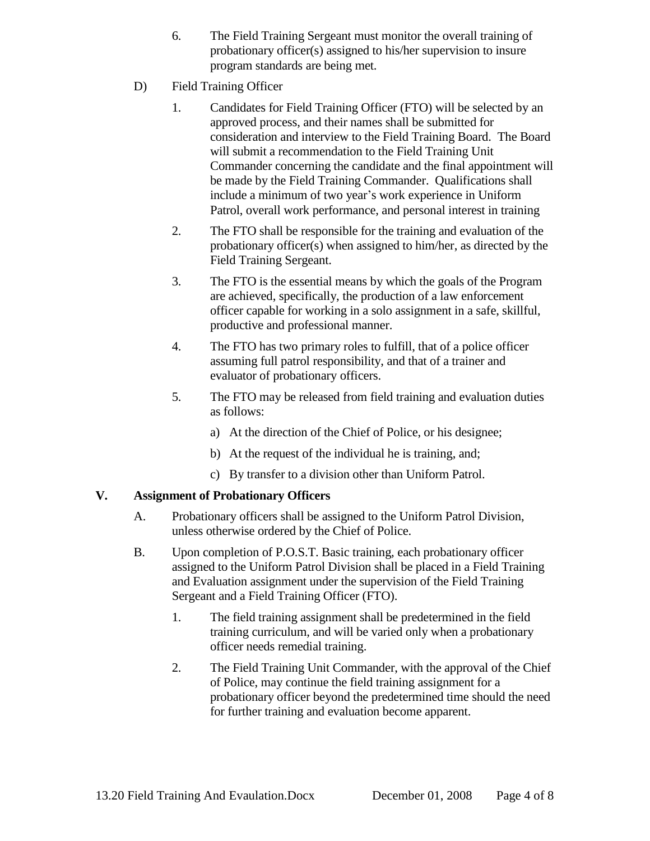- 6. The Field Training Sergeant must monitor the overall training of probationary officer(s) assigned to his/her supervision to insure program standards are being met.
- D) Field Training Officer
	- 1. Candidates for Field Training Officer (FTO) will be selected by an approved process, and their names shall be submitted for consideration and interview to the Field Training Board. The Board will submit a recommendation to the Field Training Unit Commander concerning the candidate and the final appointment will be made by the Field Training Commander. Qualifications shall include a minimum of two year's work experience in Uniform Patrol, overall work performance, and personal interest in training
	- 2. The FTO shall be responsible for the training and evaluation of the probationary officer(s) when assigned to him/her, as directed by the Field Training Sergeant.
	- 3. The FTO is the essential means by which the goals of the Program are achieved, specifically, the production of a law enforcement officer capable for working in a solo assignment in a safe, skillful, productive and professional manner.
	- 4. The FTO has two primary roles to fulfill, that of a police officer assuming full patrol responsibility, and that of a trainer and evaluator of probationary officers.
	- 5. The FTO may be released from field training and evaluation duties as follows:
		- a) At the direction of the Chief of Police, or his designee;
		- b) At the request of the individual he is training, and;
		- c) By transfer to a division other than Uniform Patrol.

## **V. Assignment of Probationary Officers**

- A. Probationary officers shall be assigned to the Uniform Patrol Division, unless otherwise ordered by the Chief of Police.
- B. Upon completion of P.O.S.T. Basic training, each probationary officer assigned to the Uniform Patrol Division shall be placed in a Field Training and Evaluation assignment under the supervision of the Field Training Sergeant and a Field Training Officer (FTO).
	- 1. The field training assignment shall be predetermined in the field training curriculum, and will be varied only when a probationary officer needs remedial training.
	- 2. The Field Training Unit Commander, with the approval of the Chief of Police, may continue the field training assignment for a probationary officer beyond the predetermined time should the need for further training and evaluation become apparent.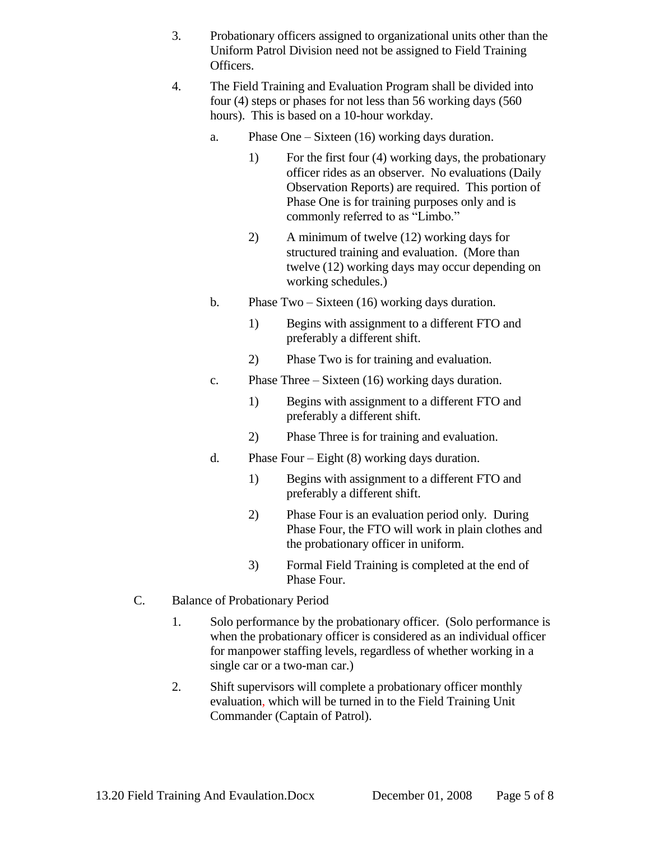- 3. Probationary officers assigned to organizational units other than the Uniform Patrol Division need not be assigned to Field Training Officers.
- 4. The Field Training and Evaluation Program shall be divided into four (4) steps or phases for not less than 56 working days (560 hours). This is based on a 10-hour workday.
	- a. Phase One Sixteen (16) working days duration.
		- 1) For the first four (4) working days, the probationary officer rides as an observer. No evaluations (Daily Observation Reports) are required. This portion of Phase One is for training purposes only and is commonly referred to as "Limbo."
		- 2) A minimum of twelve (12) working days for structured training and evaluation. (More than twelve (12) working days may occur depending on working schedules.)
	- b. Phase Two Sixteen (16) working days duration.
		- 1) Begins with assignment to a different FTO and preferably a different shift.
		- 2) Phase Two is for training and evaluation.
	- c. Phase Three Sixteen (16) working days duration.
		- 1) Begins with assignment to a different FTO and preferably a different shift.
		- 2) Phase Three is for training and evaluation.
	- d. Phase Four Eight (8) working days duration.
		- 1) Begins with assignment to a different FTO and preferably a different shift.
		- 2) Phase Four is an evaluation period only. During Phase Four, the FTO will work in plain clothes and the probationary officer in uniform.
		- 3) Formal Field Training is completed at the end of Phase Four.
- C. Balance of Probationary Period
	- 1. Solo performance by the probationary officer. (Solo performance is when the probationary officer is considered as an individual officer for manpower staffing levels, regardless of whether working in a single car or a two-man car.)
	- 2. Shift supervisors will complete a probationary officer monthly evaluation, which will be turned in to the Field Training Unit Commander (Captain of Patrol).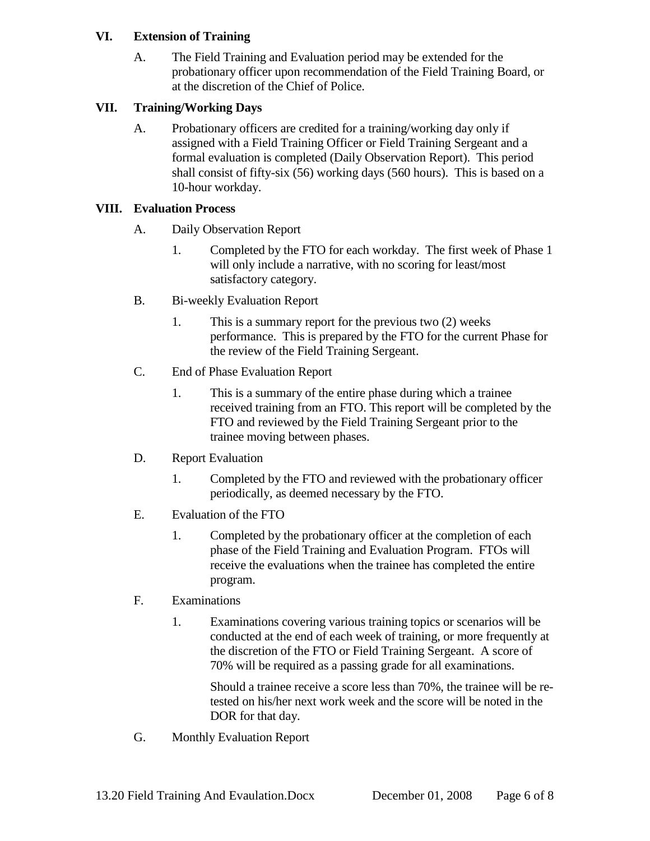### **VI. Extension of Training**

A. The Field Training and Evaluation period may be extended for the probationary officer upon recommendation of the Field Training Board, or at the discretion of the Chief of Police.

## **VII. Training/Working Days**

A. Probationary officers are credited for a training/working day only if assigned with a Field Training Officer or Field Training Sergeant and a formal evaluation is completed (Daily Observation Report). This period shall consist of fifty-six (56) working days (560 hours). This is based on a 10-hour workday.

## **VIII. Evaluation Process**

- A. Daily Observation Report
	- 1. Completed by the FTO for each workday. The first week of Phase 1 will only include a narrative, with no scoring for least/most satisfactory category.
- B. Bi-weekly Evaluation Report
	- 1. This is a summary report for the previous two (2) weeks performance. This is prepared by the FTO for the current Phase for the review of the Field Training Sergeant.
- C. End of Phase Evaluation Report
	- 1. This is a summary of the entire phase during which a trainee received training from an FTO. This report will be completed by the FTO and reviewed by the Field Training Sergeant prior to the trainee moving between phases.
- D. Report Evaluation
	- 1. Completed by the FTO and reviewed with the probationary officer periodically, as deemed necessary by the FTO.
- E. Evaluation of the FTO
	- 1. Completed by the probationary officer at the completion of each phase of the Field Training and Evaluation Program. FTOs will receive the evaluations when the trainee has completed the entire program.

# F. Examinations

1. Examinations covering various training topics or scenarios will be conducted at the end of each week of training, or more frequently at the discretion of the FTO or Field Training Sergeant. A score of 70% will be required as a passing grade for all examinations.

Should a trainee receive a score less than 70%, the trainee will be retested on his/her next work week and the score will be noted in the DOR for that day.

G. Monthly Evaluation Report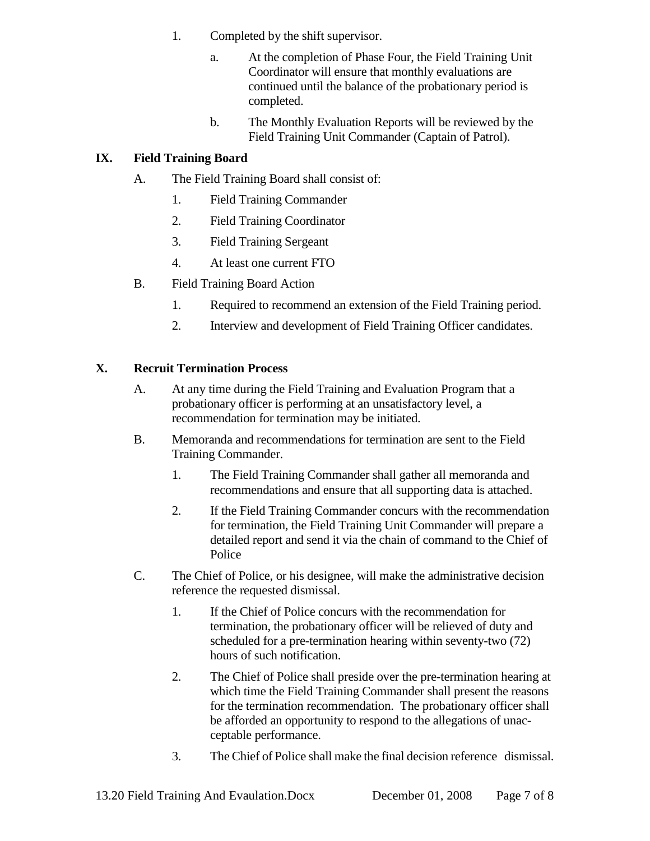- 1. Completed by the shift supervisor.
	- a. At the completion of Phase Four, the Field Training Unit Coordinator will ensure that monthly evaluations are continued until the balance of the probationary period is completed.
	- b. The Monthly Evaluation Reports will be reviewed by the Field Training Unit Commander (Captain of Patrol).

## **IX. Field Training Board**

- A. The Field Training Board shall consist of:
	- 1. Field Training Commander
	- 2. Field Training Coordinator
	- 3. Field Training Sergeant
	- 4. At least one current FTO
- B. Field Training Board Action
	- 1. Required to recommend an extension of the Field Training period.
	- 2. Interview and development of Field Training Officer candidates.

## **X. Recruit Termination Process**

- A. At any time during the Field Training and Evaluation Program that a probationary officer is performing at an unsatisfactory level, a recommendation for termination may be initiated.
- B. Memoranda and recommendations for termination are sent to the Field Training Commander.
	- 1. The Field Training Commander shall gather all memoranda and recommendations and ensure that all supporting data is attached.
	- 2. If the Field Training Commander concurs with the recommendation for termination, the Field Training Unit Commander will prepare a detailed report and send it via the chain of command to the Chief of Police
- C. The Chief of Police, or his designee, will make the administrative decision reference the requested dismissal.
	- 1. If the Chief of Police concurs with the recommendation for termination, the probationary officer will be relieved of duty and scheduled for a pre-termination hearing within seventy-two (72) hours of such notification.
	- 2. The Chief of Police shall preside over the pre-termination hearing at which time the Field Training Commander shall present the reasons for the termination recommendation. The probationary officer shall be afforded an opportunity to respond to the allegations of unacceptable performance.
	- 3. The Chief of Police shall make the final decision reference dismissal.